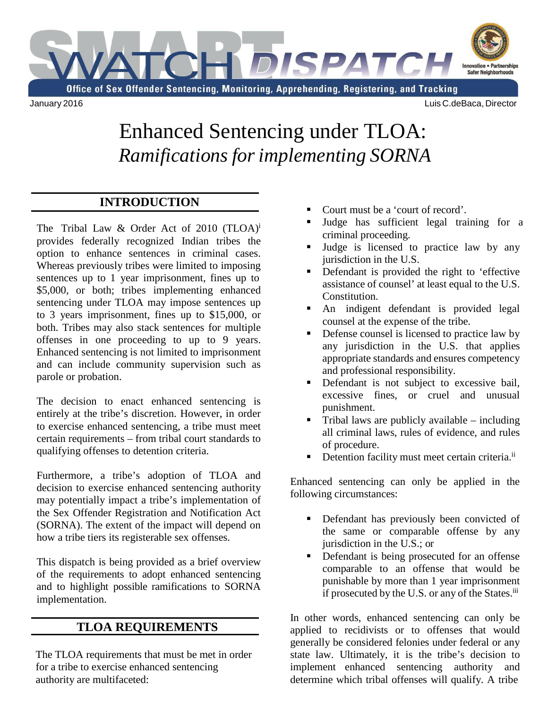

## Enhanced Sentencing under TLOA: *Ramificationsfor implementing SORNA*

## **INTRODUCTION**

The Tribal Law & Order Act of 2010  $(TLOA)^{i}$ provides federally recognized Indian tribes the option to enhance sentences in criminal cases. Whereas previously tribes were limited to imposing sentences up to 1 year imprisonment, fines up to \$5,000, or both; tribes implementing enhanced sentencing under TLOA may impose sentences up to 3 years imprisonment, fines up to \$15,000, or both. Tribes may also stack sentences for multiple offenses in one proceeding to up to 9 years. Enhanced sentencing is not limited to imprisonment and can include community supervision such as parole or probation.

The decision to enact enhanced sentencing is entirely at the tribe's discretion. However, in order to exercise enhanced sentencing, a tribe must meet certain requirements – from tribal court standards to qualifying offenses to detention criteria.

Furthermore, a tribe's adoption of TLOA and decision to exercise enhanced sentencing authority may potentially impact a tribe's implementation of the Sex Offender Registration and Notification Act (SORNA). The extent of the impact will depend on how a tribe tiers its registerable sex offenses.

This dispatch is being provided as a brief overview of the requirements to adopt enhanced sentencing and to highlight possible ramifications to SORNA implementation.

## **TLOA REQUIREMENTS**

The TLOA requirements that must be met in order for a tribe to exercise enhanced sentencing authority are multifaceted:

- Court must be a 'court of record'.
- Judge has sufficient legal training for a criminal proceeding.
- Judge is licensed to practice law by any jurisdiction in the U.S.
- Defendant is provided the right to 'effective assistance of counsel' at least equal to the U.S. Constitution.
- An indigent defendant is provided legal counsel at the expense of the tribe.
- Defense counsel is licensed to practice law by any jurisdiction in the U.S. that applies appropriate standards and ensures competency and professional responsibility.
- Defendant is not subject to excessive bail, excessive fines, or cruel and unusual punishment.
- Tribal laws are publicly available including all criminal laws, rules of evidence, and rules of procedure.
- Detention facility must meet certain criteria.<sup>ii</sup>

Enhanced sentencing can only be applied in the following circumstances:

- Defendant has previously been convicted of the same or comparable offense by any jurisdiction in the U.S.; or
- Defendant is being prosecuted for an offense comparable to an offense that would be punishable by more than 1 year imprisonment if prosecuted by the U.S. or any of the States.<sup>iii</sup>

In other words, enhanced sentencing can only be applied to recidivists or to offenses that would generally be considered felonies under federal or any state law. Ultimately, it is the tribe's decision to implement enhanced sentencing authority and determine which tribal offenses will qualify. A tribe

January 2016 Luis C.deBaca, Director